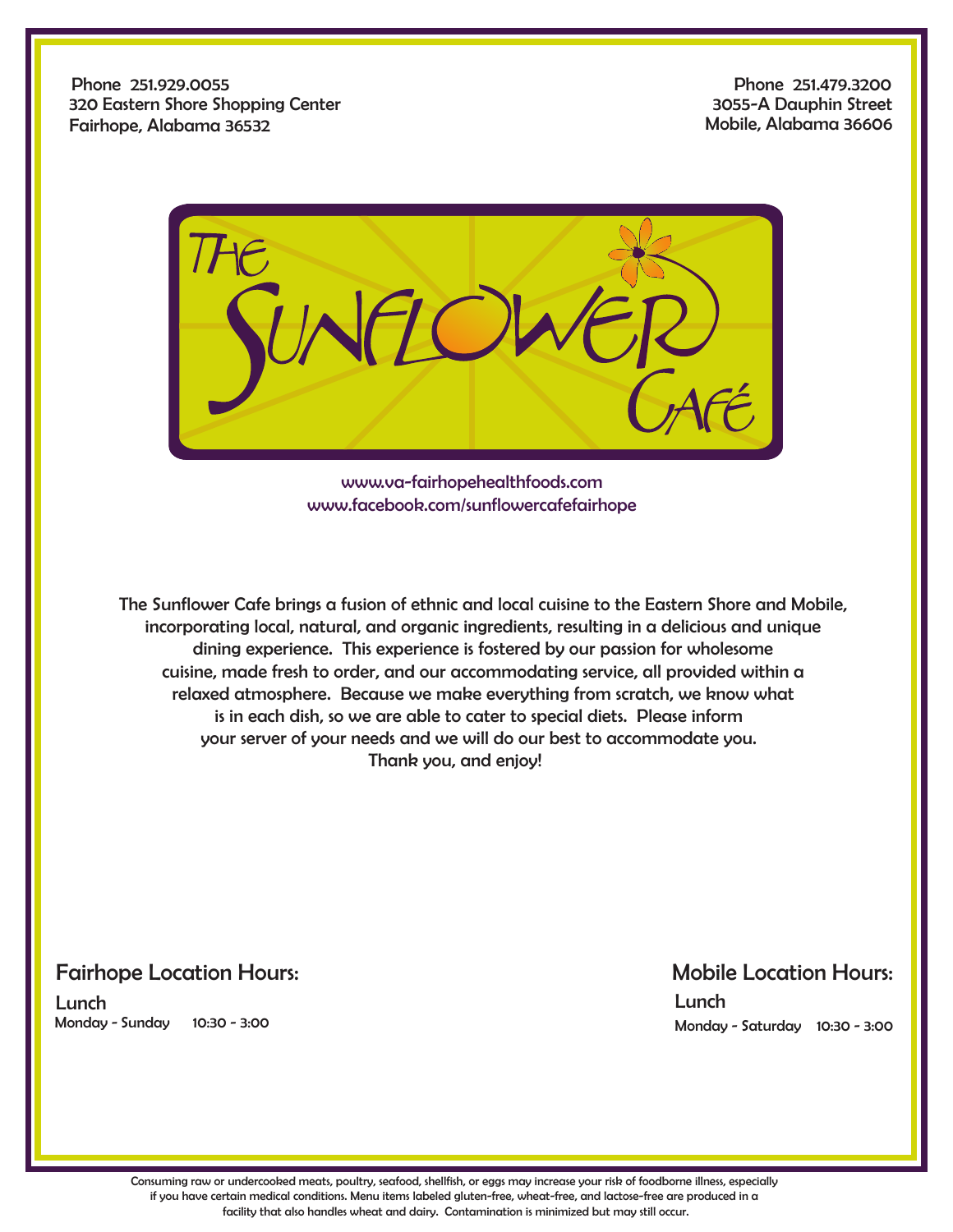Phone 251.929.0055 320 Eastern Shore Shopping Center Fairhope, Alabama 36532

Phone 251.479.3200 3055-A Dauphin Street Mobile, Alabama 36606



www.va-fairhopehealthfoods.com www.facebook.com/sunflowercafefairhope

 The Sunflower Cafe brings a fusion of ethnic and local cuisine to the Eastern Shore and Mobile, incorporating local, natural, and organic ingredients, resulting in a delicious and unique dining experience. This experience is fostered by our passion for wholesome cuisine, made fresh to order, and our accommodating service, all provided within a relaxed atmosphere. Because we make everything from scratch, we know what is in each dish, so we are able to cater to special diets. Please inform your server of your needs and we will do our best to accommodate you. Thank you, and enjoy!

## Fairhope Location Hours:

Lunch Monday - Sunday 10:30 - 3:00

## Mobile Location Hours:

Lunch Monday - Saturday 10:30 - 3:00

Consuming raw or undercooked meats, poultry, seafood, shellfish, or eggs may increase your risk of foodborne illness, especially if you have certain medical conditions. Menu items labeled gluten-free, wheat-free, and lactose-free are produced in a facility that also handles wheat and dairy. Contamination is minimized but may still occur.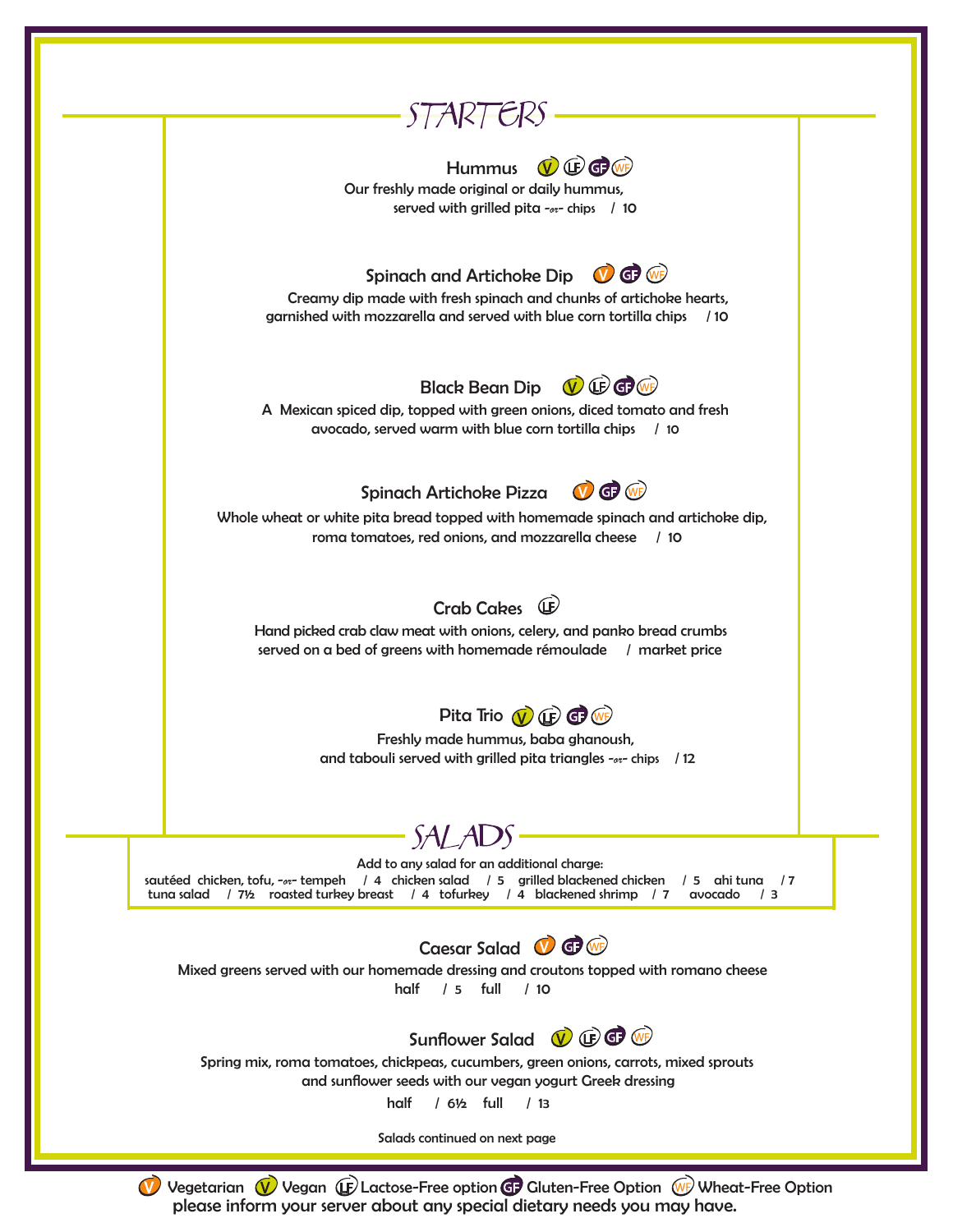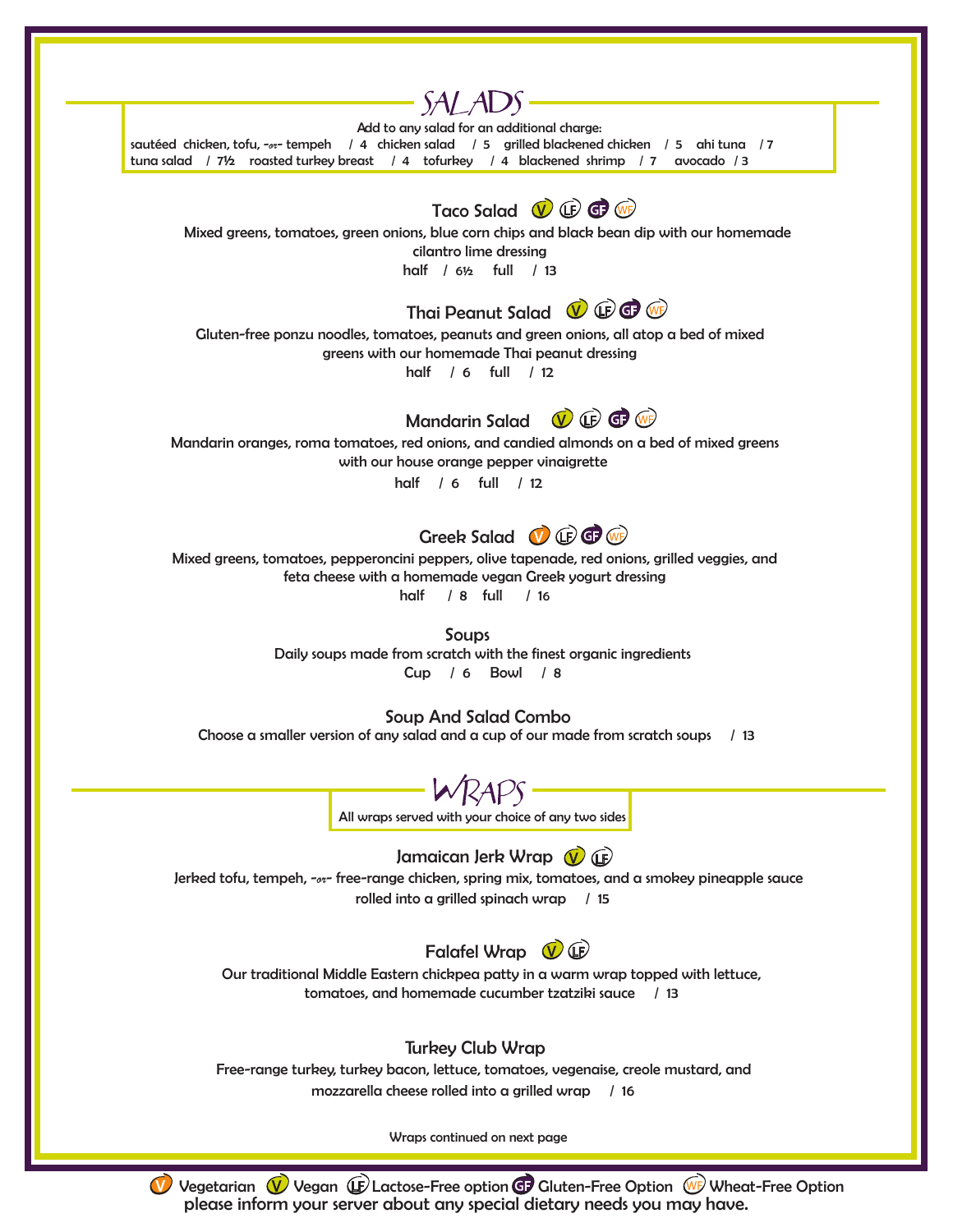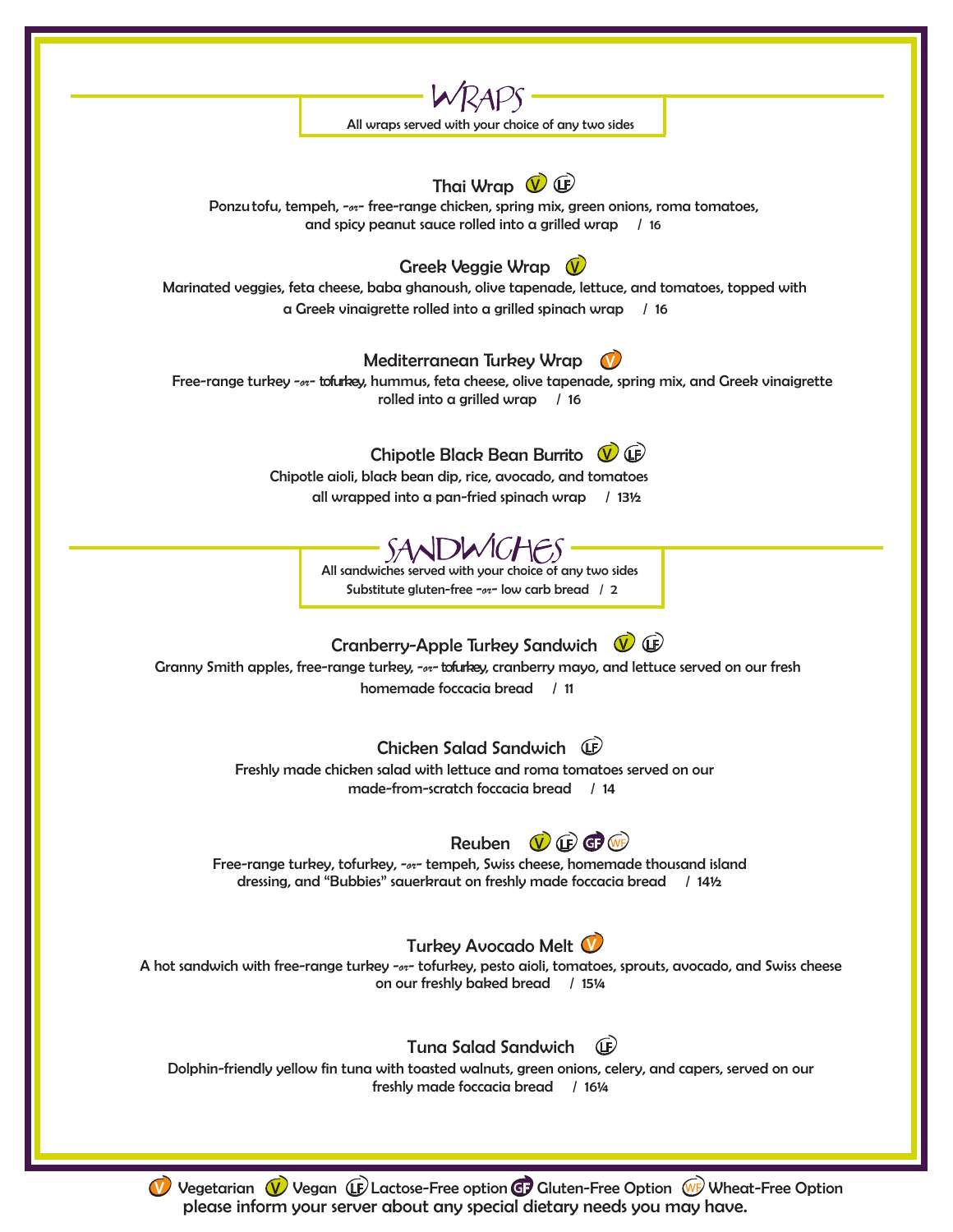

Vegetarian  $\sqrt{\phantom{a}}$  Vegan  $\mathbb{G}$  Lactose-Free option  $\mathbb{G}$  Gluten-Free Option  $\mathbb{W}$  Wheat-Free Option please inform your server about any special dietary needs you may have.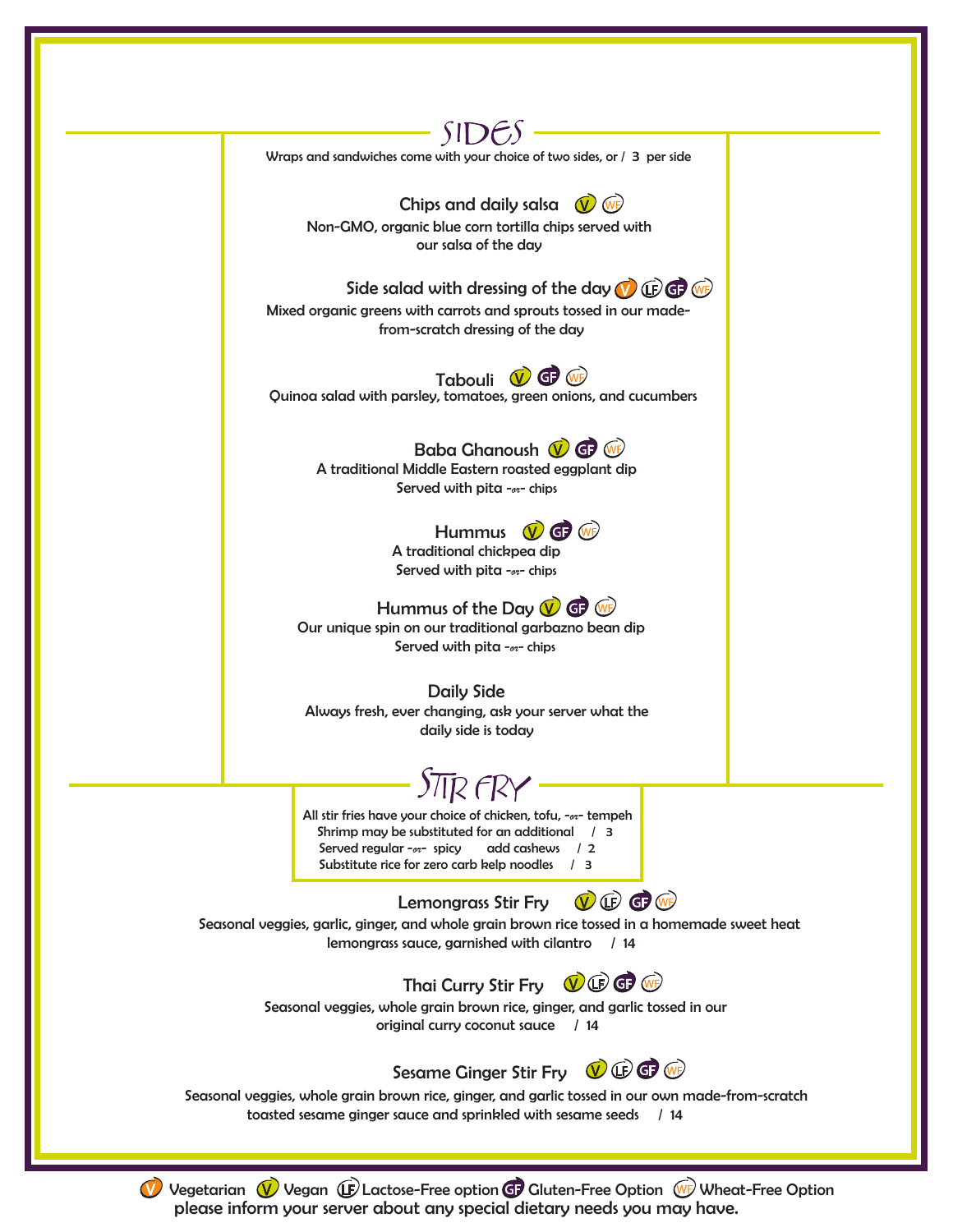

Vegetarian  $\sqrt{V}$  Vegan  $\mathbb{E}$  Lactose-Free option  $\mathbb{G}$  Gluten-Free Option  $\mathbb{W}$  Wheat-Free Option please inform your server about any special dietary needs you may have.